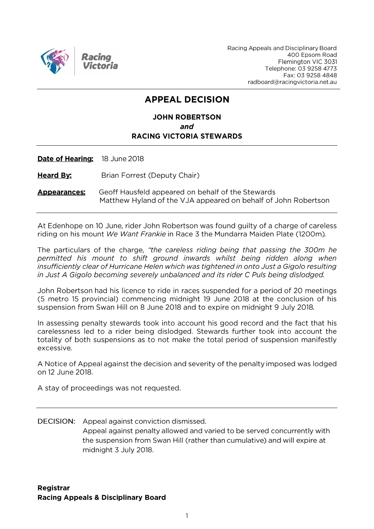

Racing Appeals and Disciplinary Board 400 Epsom Road Flemington VIC 3031 Telephone: 03 9258 4773 Fax: 03 9258 4848 radboard@racingvictoria.net.au

# **APPEAL DECISION**

## **JOHN ROBERTSON** and **RACING VICTORIA STEWARDS**

Date of Hearing: 18 June 2018

**Heard By:** Brian Forrest (Deputy Chair)

Geoff Hausfeld appeared on behalf of the Stewards **Appearances:** Matthew Hyland of the VJA appeared on behalf of John Robertson

At Edenhope on 10 June, rider John Robertson was found quilty of a charge of careless riding on his mount We Want Frankie in Race 3 the Mundarra Maiden Plate (1200m).

The particulars of the charge, "the careless riding being that passing the 300m he permitted his mount to shift ground inwards whilst being ridden along when insufficiently clear of Hurricane Helen which was tightened in onto Just a Gigolo resulting in Just A Gigolo becoming severely unbalanced and its rider C Puls being dislodged.

John Robertson had his licence to ride in races suspended for a period of 20 meetings (5 metro 15 provincial) commencing midnight 19 June 2018 at the conclusion of his suspension from Swan Hill on 8 June 2018 and to expire on midnight 9 July 2018.

In assessing penalty stewards took into account his good record and the fact that his carelessness led to a rider being dislodged. Stewards further took into account the totality of both suspensions as to not make the total period of suspension manifestly excessive.

A Notice of Appeal against the decision and severity of the penalty imposed was lodged on 12 June 2018.

A stay of proceedings was not requested.

**DECISION:** Appeal against conviction dismissed.

Appeal against penalty allowed and varied to be served concurrently with the suspension from Swan Hill (rather than cumulative) and will expire at midnight 3 July 2018.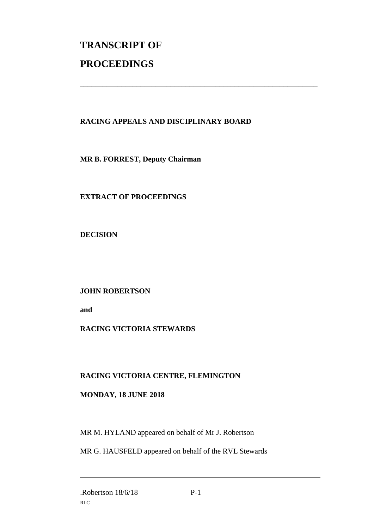# **TRANSCRIPT OF PROCEEDINGS**

## **RACING APPEALS AND DISCIPLINARY BOARD**

\_\_\_\_\_\_\_\_\_\_\_\_\_\_\_\_\_\_\_\_\_\_\_\_\_\_\_\_\_\_\_\_\_\_\_\_\_\_\_\_\_\_\_\_\_\_\_\_\_\_\_\_\_\_\_\_\_\_\_\_\_\_\_

**MR B. FORREST, Deputy Chairman**

**EXTRACT OF PROCEEDINGS**

**DECISION**

**JOHN ROBERTSON**

**and** 

## **RACING VICTORIA STEWARDS**

#### **RACING VICTORIA CENTRE, FLEMINGTON**

#### **MONDAY, 18 JUNE 2018**

MR M. HYLAND appeared on behalf of Mr J. Robertson

MR G. HAUSFELD appeared on behalf of the RVL Stewards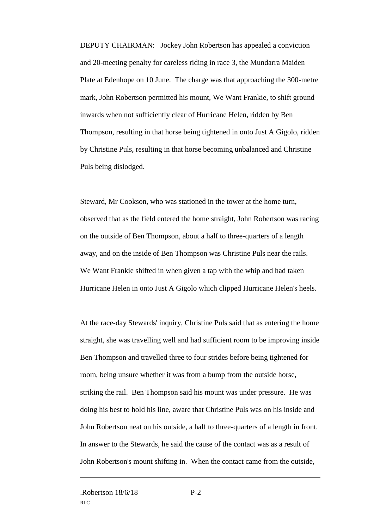DEPUTY CHAIRMAN: Jockey John Robertson has appealed a conviction and 20-meeting penalty for careless riding in race 3, the Mundarra Maiden Plate at Edenhope on 10 June. The charge was that approaching the 300-metre mark, John Robertson permitted his mount, We Want Frankie, to shift ground inwards when not sufficiently clear of Hurricane Helen, ridden by Ben Thompson, resulting in that horse being tightened in onto Just A Gigolo, ridden by Christine Puls, resulting in that horse becoming unbalanced and Christine Puls being dislodged.

Steward, Mr Cookson, who was stationed in the tower at the home turn, observed that as the field entered the home straight, John Robertson was racing on the outside of Ben Thompson, about a half to three-quarters of a length away, and on the inside of Ben Thompson was Christine Puls near the rails. We Want Frankie shifted in when given a tap with the whip and had taken Hurricane Helen in onto Just A Gigolo which clipped Hurricane Helen's heels.

At the race-day Stewards' inquiry, Christine Puls said that as entering the home straight, she was travelling well and had sufficient room to be improving inside Ben Thompson and travelled three to four strides before being tightened for room, being unsure whether it was from a bump from the outside horse, striking the rail. Ben Thompson said his mount was under pressure. He was doing his best to hold his line, aware that Christine Puls was on his inside and John Robertson neat on his outside, a half to three-quarters of a length in front. In answer to the Stewards, he said the cause of the contact was as a result of John Robertson's mount shifting in. When the contact came from the outside,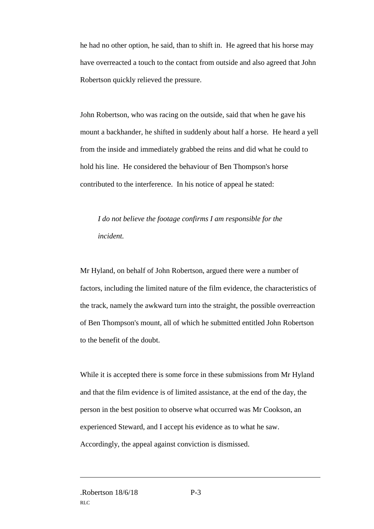he had no other option, he said, than to shift in. He agreed that his horse may have overreacted a touch to the contact from outside and also agreed that John Robertson quickly relieved the pressure.

John Robertson, who was racing on the outside, said that when he gave his mount a backhander, he shifted in suddenly about half a horse. He heard a yell from the inside and immediately grabbed the reins and did what he could to hold his line. He considered the behaviour of Ben Thompson's horse contributed to the interference. In his notice of appeal he stated:

*I do not believe the footage confirms I am responsible for the incident.*

Mr Hyland, on behalf of John Robertson, argued there were a number of factors, including the limited nature of the film evidence, the characteristics of the track, namely the awkward turn into the straight, the possible overreaction of Ben Thompson's mount, all of which he submitted entitled John Robertson to the benefit of the doubt.

While it is accepted there is some force in these submissions from Mr Hyland and that the film evidence is of limited assistance, at the end of the day, the person in the best position to observe what occurred was Mr Cookson, an experienced Steward, and I accept his evidence as to what he saw. Accordingly, the appeal against conviction is dismissed.